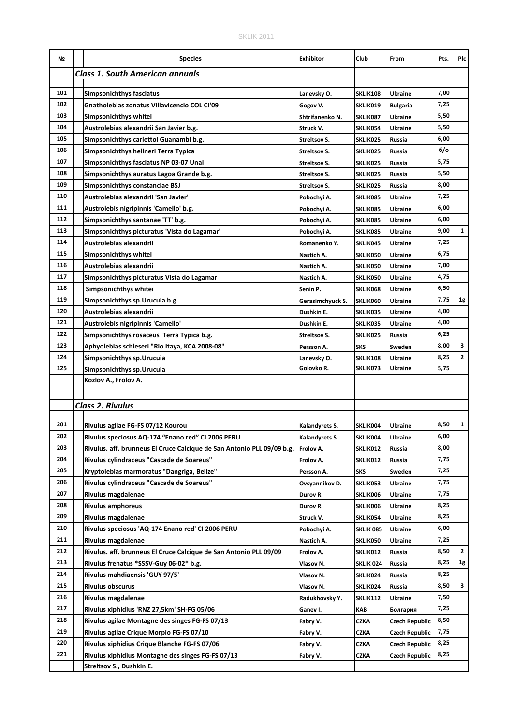| Nº  | <b>Species</b>                                                                          | <b>Exhibitor</b>        | Club                        | From                  | Pts. | Plc          |
|-----|-----------------------------------------------------------------------------------------|-------------------------|-----------------------------|-----------------------|------|--------------|
|     | <b>Class 1. South American annuals</b>                                                  |                         |                             |                       |      |              |
|     |                                                                                         |                         |                             |                       |      |              |
| 101 | <b>Simpsonichthys fasciatus</b>                                                         | Lanevsky O.             | SKLIK108                    | <b>Ukraine</b>        | 7,00 |              |
| 102 | Gnatholebias zonatus Villavicencio COL CI'09                                            | Gogov V.                | SKLIK019                    | <b>Bulgaria</b>       | 7,25 |              |
| 103 | Simpsonichthys whitei                                                                   | Shtrifanenko N.         | SKLIK087                    | Ukraine               | 5,50 |              |
| 104 | Austrolebias alexandrii San Javier b.g.                                                 | Struck V.               | SKLIK054                    | Ukraine               | 5,50 |              |
| 105 | Simpsonichthys carlettoi Guanambi b.g.                                                  | Streltsov S.            | SKLIK025                    | Russia                | 6,00 |              |
| 106 | Simpsonichthys hellneri Terra Typica                                                    | Streltsov S.            | SKLIK025                    | Russia                | 6/0  |              |
| 107 | Simpsonichthys fasciatus NP 03-07 Unai                                                  | Streltsov S.            | <b>SKLIK025</b>             | Russia                | 5,75 |              |
| 108 | Simpsonichthys auratus Lagoa Grande b.g.                                                | Streltsov S.            | SKLIK025                    | Russia                | 5,50 |              |
| 109 | Simpsonichthys constanciae BSJ                                                          | Streltsov S.            | SKLIK025                    | Russia                | 8,00 |              |
| 110 | Austrolebias alexandrii 'San Javier'                                                    | Pobochyi A.             | SKLIK085                    | <b>Ukraine</b>        | 7,25 |              |
| 111 | Austrolebis nigripinnis 'Camello' b.g.                                                  | Pobochyi A.             | SKLIK085                    | Ukraine               | 6,00 |              |
| 112 | Simpsonichthys santanae 'TT' b.g.                                                       | Pobochyi A.             | SKLIK085                    | Ukraine               | 6,00 |              |
| 113 | Simpsonichthys picturatus 'Vista do Lagamar'                                            | Pobochyi A.             | SKLIK085                    | Ukraine               | 9,00 | $\mathbf{1}$ |
| 114 | Austrolebias alexandrii                                                                 | Romanenko Y.            | SKLIK045                    | <b>Ukraine</b>        | 7,25 |              |
| 115 | Simpsonichthys whitei                                                                   | Nastich A.              | SKLIK050                    | Ukraine               | 6,75 |              |
| 116 | Austrolebias alexandrii                                                                 | Nastich A.              | SKLIK050                    | Ukraine               | 7,00 |              |
| 117 | Simpsonichthys picturatus Vista do Lagamar                                              | Nastich A.              | SKLIK050                    | Ukraine               | 4,75 |              |
| 118 | Simpsonichthys whitei                                                                   | Senin P.                | SKLIK068                    | <b>Ukraine</b>        | 6,50 |              |
| 119 | Simpsonichthys sp. Urucuia b.g.                                                         | Gerasimchyuck S.        | SKLIK060                    | Ukraine               | 7,75 | 1g           |
| 120 | Austrolebias alexandrii                                                                 | Dushkin E.              | SKLIK035                    | Ukraine               | 4,00 |              |
| 121 | Austrolebis nigripinnis 'Camello'                                                       | Dushkin E.              | SKLIK035                    | Ukraine               | 4,00 |              |
| 122 | Simpsonichthys rosaceus Terra Typica b.g.                                               | Streltsov S.            | SKLIK025                    | Russia                | 6,25 |              |
| 123 | Aphyolebias schleseri "Rio Itaya, KCA 2008-08"                                          | Persson A.              | <b>SKS</b>                  | Sweden                | 8,00 | 3            |
| 124 | Simpsonichthys sp.Urucuia                                                               | Lanevsky O.             | SKLIK108                    | Ukraine               | 8,25 | $\mathbf{2}$ |
| 125 | Simpsonichthys sp. Urucuia                                                              | Golovko R.              | SKLIK073                    | Ukraine               | 5,75 |              |
|     | Kozlov A., Frolov A.                                                                    |                         |                             |                       |      |              |
|     |                                                                                         |                         |                             |                       |      |              |
|     | <b>Class 2. Rivulus</b>                                                                 |                         |                             |                       |      |              |
|     |                                                                                         |                         |                             |                       |      |              |
| 201 | Rivulus agilae FG-FS 07/12 Kourou                                                       | Kalandyrets S.          | SKLIK004                    | <b>Ukraine</b>        | 8,50 | $\mathbf{1}$ |
| 202 | Rivulus speciosus AQ-174 "Enano red" CI 2006 PERU                                       | Kalandyrets S.          | SKLIK004                    | Ukraine               | 6,00 |              |
| 203 | Rivulus. aff. brunneus El Cruce Calcique de San Antonio PLL 09/09 b.g.                  | Frolov A.               | SKLIK012                    | Russia                | 8,00 |              |
| 204 | Rivulus cylindraceus "Cascade de Soareus"                                               | Frolov A.               | SKLIK012                    | Russia                | 7,75 |              |
| 205 | Kryptolebias marmoratus "Dangriga, Belize"                                              | Persson A.              | <b>SKS</b>                  | Sweden                | 7,25 |              |
| 206 | Rivulus cylindraceus "Cascade de Soareus"                                               | Ovsyannikov D.          | SKLIK053                    | Ukraine               | 7,75 |              |
| 207 | Rivulus magdalenae                                                                      | Durov R.                | SKLIK006                    | Ukraine               | 7,75 |              |
| 208 | <b>Rivulus amphoreus</b>                                                                | Durov R.                | SKLIK006                    | Ukraine               | 8,25 |              |
| 209 | Rivulus magdalenae                                                                      | Struck V.               | SKLIK054                    | Ukraine               | 8,25 |              |
| 210 | Rivulus speciosus 'AQ-174 Enano red' CI 2006 PERU                                       | Pobochyi A.             | SKLIK 085                   | <b>Ukraine</b>        | 6,00 |              |
| 211 |                                                                                         |                         |                             | <b>Ukraine</b>        | 7,25 |              |
| 212 | Rivulus magdalenae<br>Rivulus. aff. brunneus El Cruce Calcique de San Antonio PLL 09/09 | Nastich A.<br>Frolov A. | <b>SKLIK050</b><br>SKLIK012 | Russia                | 8,50 | 2            |
| 213 |                                                                                         |                         |                             |                       | 8,25 | 1g           |
| 214 | Rivulus frenatus *SSSV-Guy 06-02* b.g.                                                  | Vlasov N.               | SKLIK 024                   | Russia                | 8,25 |              |
| 215 | Rivulus mahdiaensis 'GUY 97/5'                                                          | Vlasov N.               | SKLIK024                    | Russia                | 8,50 | 3            |
| 216 | Rivulus obscurus                                                                        | Vlasov N.               | SKLIK024                    | Russia                | 7,50 |              |
|     | Rivulus magdalenae                                                                      | Radukhovsky Y.          | SKLIK112                    | Ukraine               |      |              |
| 217 | Rivulus xiphidius 'RNZ 27,5km' SH-FG 05/06                                              | Ganev I.                | KAB                         | Болгария              | 7,25 |              |
| 218 | Rivulus agilae Montagne des singes FG-FS 07/13                                          | Fabry V.                | CZKA                        | <b>Czech Republic</b> | 8,50 |              |
| 219 | Rivulus agilae Crique Morpio FG-FS 07/10                                                | Fabry V.                | CZKA                        | <b>Czech Republic</b> | 7,75 |              |
| 220 | Rivulus xiphidius Crique Blanche FG-FS 07/06                                            | Fabry V.                | CZKA                        | <b>Czech Republic</b> | 8,25 |              |
| 221 | Rivulus xiphidius Montagne des singes FG-FS 07/13                                       | Fabry V.                | CZKA                        | Czech Republic        | 8,25 |              |
|     | Streltsov S., Dushkin E.                                                                |                         |                             |                       |      |              |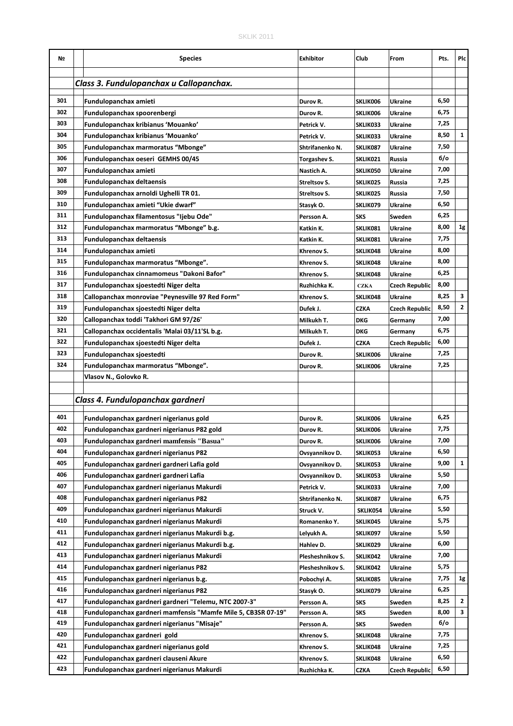| Nº  | <b>Species</b>                                                              | <b>Exhibitor</b> | Club                 | From                     | Pts.   | Plc          |
|-----|-----------------------------------------------------------------------------|------------------|----------------------|--------------------------|--------|--------------|
|     | Class 3. Fundulopanchax u Callopanchax.                                     |                  |                      |                          |        |              |
| 301 |                                                                             |                  |                      |                          | 6,50   |              |
| 302 | Fundulopanchax amieti<br>Fundulopanchax spoorenbergi                        | Durov R.         | SKLIK006             | <b>Ukraine</b>           | 6,75   |              |
| 303 | Fundulopanchax kribianus 'Mouanko'                                          | Durov R.         | SKLIK006             | <b>Ukraine</b>           | 7,25   |              |
| 304 |                                                                             | Petrick V.       | SKLIK033             | <b>Ukraine</b>           | 8,50   | $\mathbf{1}$ |
| 305 | Fundulopanchax kribianus 'Mouanko'                                          | Petrick V.       | SKLIK033<br>SKLIK087 | Ukraine                  | 7,50   |              |
| 306 | Fundulopanchax marmoratus "Mbonge"<br>Fundulopanchax oeseri GEMHS 00/45     | Shtrifanenko N.  | SKLIK021             | <b>Ukraine</b><br>Russia | $6$ /o |              |
| 307 | Fundulopanchax amieti                                                       | Torgashev S.     |                      | <b>Ukraine</b>           | 7,00   |              |
| 308 | <b>Fundulopanchax deltaensis</b>                                            | Nastich A.       | SKLIK050             |                          | 7,25   |              |
| 309 |                                                                             | Streltsov S.     | SKLIK025             | Russia                   | 7,50   |              |
| 310 | Fundulopanchax arnoldi Ughelli TR 01.<br>Fundulopanchax amieti "Ukie dwarf" | Streltsov S.     | SKLIK025             | Russia                   | 6,50   |              |
| 311 |                                                                             | Stasyk O.        | SKLIK079             | Ukraine                  | 6,25   |              |
| 312 | Fundulopanchax filamentosus "Ijebu Ode"                                     | Persson A.       | <b>SKS</b>           | Sweden                   | 8,00   | 1g           |
| 313 | Fundulopanchax marmoratus "Mbonge" b.g.                                     | Katkin K.        | SKLIK081             | <b>Ukraine</b>           | 7,75   |              |
| 314 | <b>Fundulopanchax deltaensis</b>                                            | Katkin K.        | SKLIK081             | <b>Ukraine</b>           | 8,00   |              |
| 315 | Fundulopanchax amieti                                                       | Khrenov S.       | SKLIK048             | <b>Ukraine</b>           |        |              |
|     | Fundulopanchax marmoratus "Mbonge".                                         | Khrenov S.       | SKLIK048             | Ukraine                  | 8,00   |              |
| 316 | Fundulopanchax cinnamomeus "Dakoni Bafor"                                   | Khrenov S.       | SKLIK048             | <b>Ukraine</b>           | 6,25   |              |
| 317 | Fundulopanchax sjoestedti Niger delta                                       | Ruzhichka K.     | <b>CZKA</b>          | <b>Czech Republic</b>    | 8,00   |              |
| 318 | Callopanchax monroviae "Peynesville 97 Red Form"                            | Khrenov S.       | SKLIK048             | <b>Ukraine</b>           | 8,25   | 3            |
| 319 | Fundulopanchax sjoestedti Niger delta                                       | Dufek J.         | <b>CZKA</b>          | Czech Republic           | 8,50   | $\mathbf{2}$ |
| 320 | Callopanchax toddi 'Takhori GM 97/26'                                       | Milkukh T.       | <b>DKG</b>           | Germany                  | 7,00   |              |
| 321 | Callopanchax occidentalis 'Malai 03/11'SL b.g.                              | Milkukh T.       | <b>DKG</b>           | Germany                  | 6,75   |              |
| 322 | Fundulopanchax sjoestedti Niger delta                                       | Dufek J.         | <b>CZKA</b>          | <b>Czech Republic</b>    | 6,00   |              |
| 323 | Fundulopanchax sjoestedti                                                   | Durov R.         | SKLIK006             | Ukraine                  | 7,25   |              |
| 324 | Fundulopanchax marmoratus "Mbonge".                                         | Durov R.         | SKLIK006             | Ukraine                  | 7,25   |              |
|     | Vlasov N., Golovko R.                                                       |                  |                      |                          |        |              |
|     |                                                                             |                  |                      |                          |        |              |
|     | Class 4. Fundulopanchax gardneri                                            |                  |                      |                          |        |              |
| 401 | Fundulopanchax gardneri nigerianus gold                                     | Durov R.         | SKLIK006             | <b>Ukraine</b>           | 6,25   |              |
| 402 | Fundulopanchax gardneri nigerianus P82 gold                                 | Durov R.         | SKLIK006             | <b>Ukraine</b>           | 7,75   |              |
| 403 | Fundulopanchax gardneri mamfensis "Basua"                                   | Durov R.         | SKLIK006             | <b>Ukraine</b>           | 7,00   |              |
| 404 | Fundulopanchax gardneri nigerianus P82                                      | Ovsyannikov D.   | SKLIK053             | Ukraine                  | 6,50   |              |
| 405 | Fundulopanchax gardneri gardneri Lafia gold                                 | Ovsyannikov D.   | SKLIK053             | Ukraine                  | 9,00   | 1            |
| 406 | Fundulopanchax gardneri gardneri Lafia                                      | Ovsyannikov D.   | SKLIK053             | Ukraine                  | 5,50   |              |
| 407 | Fundulopanchax gardneri nigerianus Makurdi                                  | Petrick V.       | SKLIK033             | Ukraine                  | 7,00   |              |
| 408 | Fundulopanchax gardneri nigerianus P82                                      | Shtrifanenko N.  | SKLIK087             | Ukraine                  | 6,75   |              |
| 409 | Fundulopanchax gardneri nigerianus Makurdi                                  | Struck V.        | SKLIK054             | Ukraine                  | 5,50   |              |
| 410 | Fundulopanchax gardneri nigerianus Makurdi                                  | Romanenko Y.     | SKLIK045             | Ukraine                  | 5,75   |              |
| 411 | Fundulopanchax gardneri nigerianus Makurdi b.g.                             | Lelyukh A.       | SKLIK097             | Ukraine                  | 5,50   |              |
| 412 | Fundulopanchax gardneri nigerianus Makurdi b.g.                             | Hahlev D.        | SKLIK029             | Ukraine                  | 6,00   |              |
| 413 | Fundulopanchax gardneri nigerianus Makurdi                                  | Plesheshnikov S. | SKLIK042             | Ukraine                  | 7,00   |              |
| 414 | Fundulopanchax gardneri nigerianus P82                                      | Plesheshnikov S. | SKLIK042             | Ukraine                  | 5,75   |              |
| 415 | Fundulopanchax gardneri nigerianus b.g.                                     | Pobochyi A.      | SKLIK085             | Ukraine                  | 7,75   | 1g           |
| 416 | Fundulopanchax gardneri nigerianus P82                                      | Stasyk O.        | SKLIK079             | Ukraine                  | 6,25   |              |
| 417 | Fundulopanchax gardneri gardneri "Telemu, NTC 2007-3"                       | Persson A.       | SKS                  | Sweden                   | 8,25   | $\mathbf{2}$ |
| 418 | Fundulopanchax gardneri mamfensis "Mamfe Mile 5, CB3SR 07-19"               | Persson A.       | SKS                  | Sweden                   | 8,00   | 3            |
| 419 | Fundulopanchax gardneri nigerianus "Misaje"                                 | Persson A.       | SKS                  | Sweden                   | 6/o    |              |
| 420 | Fundulopanchax gardneri gold                                                | Khrenov S.       | SKLIK048             | Ukraine                  | 7,75   |              |
| 421 | Fundulopanchax gardneri nigerianus gold                                     | Khrenov S.       | SKLIK048             | Ukraine                  | 7,25   |              |
| 422 | Fundulopanchax gardneri clauseni Akure                                      | Khrenov S.       | SKLIK048             | Ukraine                  | 6,50   |              |
| 423 | Fundulopanchax gardneri nigerianus Makurdi                                  | Ruzhichka K.     | <b>CZKA</b>          | <b>Czech Republic</b>    | 6,50   |              |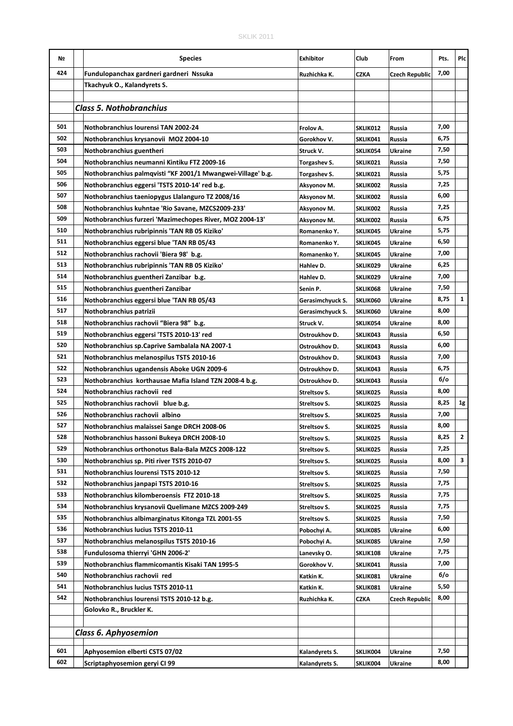| Nº  | <b>Species</b>                                              | Exhibitor           | Club            | From                  | Pts. | Plc          |
|-----|-------------------------------------------------------------|---------------------|-----------------|-----------------------|------|--------------|
| 424 | Fundulopanchax gardneri gardneri Nssuka                     | Ruzhichka K.        | CZKA            | <b>Czech Republic</b> | 7,00 |              |
|     | Tkachyuk O., Kalandyrets S.                                 |                     |                 |                       |      |              |
|     |                                                             |                     |                 |                       |      |              |
|     | <b>Class 5. Nothobranchius</b>                              |                     |                 |                       |      |              |
| 501 |                                                             |                     |                 |                       | 7,00 |              |
| 502 | Nothobranchius Iourensi TAN 2002-24                         | Frolov A.           | SKLIK012        | Russia                | 6,75 |              |
| 503 | Nothobranchius krysanovii MOZ 2004-10                       | Gorokhov V.         | SKLIK041        | Russia                |      |              |
|     | Nothobranchius guentheri                                    | Struck V.           | SKLIK054        | <b>Ukraine</b>        | 7,50 |              |
| 504 | Nothobranchius neumanni Kintiku FTZ 2009-16                 | Torgashev S.        | <b>SKLIKO21</b> | Russia                | 7,50 |              |
| 505 | Nothobranchius palmqvisti "KF 2001/1 Mwangwei-Village' b.g. | Torgashev S.        | SKLIK021        | Russia                | 5,75 |              |
| 506 | Nothobranchius eggersi 'TSTS 2010-14' red b.g.              | Aksyonov M.         | SKLIK002        | Russia                | 7,25 |              |
| 507 | Nothobranchius taeniopygus Llalanguro TZ 2008/16            | Aksyonov M.         | SKLIK002        | Russia                | 6,00 |              |
| 508 | Nothobranchius kuhntae 'Rio Savane, MZCS2009-233'           | Aksyonov M.         | SKLIK002        | Russia                | 7,25 |              |
| 509 | Nothobranchius furzeri 'Mazimechopes River, MOZ 2004-13'    | Aksyonov M.         | SKLIK002        | Russia                | 6,75 |              |
| 510 | Nothobranchius rubripinnis 'TAN RB 05 Kiziko'               | Romanenko Y.        | SKLIK045        | <b>Ukraine</b>        | 5,75 |              |
| 511 | Nothobranchius eggersi blue 'TAN RB 05/43                   | Romanenko Y.        | SKLIK045        | <b>Ukraine</b>        | 6,50 |              |
| 512 | Nothobranchius rachovii 'Biera 98' b.g.                     | Romanenko Y.        | SKLIK045        | <b>Ukraine</b>        | 7,00 |              |
| 513 | Nothobranchius rubripinnis 'TAN RB 05 Kiziko'               | Hahlev D.           | SKLIK029        | <b>Ukraine</b>        | 6,25 |              |
| 514 | Nothobranchius guentheri Zanzibar b.g.                      | Hahlev D.           | SKLIK029        | <b>Ukraine</b>        | 7,00 |              |
| 515 | Nothobranchius guentheri Zanzibar                           | Senin P.            | SKLIK068        | <b>Ukraine</b>        | 7,50 |              |
| 516 | Nothobranchius eggersi blue 'TAN RB 05/43                   | Gerasimchyuck S.    | SKLIK060        | <b>Ukraine</b>        | 8,75 | $\mathbf{1}$ |
| 517 | Nothobranchius patrizii                                     | Gerasimchyuck S.    | SKLIK060        | Ukraine               | 8,00 |              |
| 518 | Nothobranchius rachovii "Biera 98" b.g.                     | Struck V.           | SKLIK054        | <b>Ukraine</b>        | 8,00 |              |
| 519 | Nothobranchius eggersi 'TSTS 2010-13' red                   | Ostroukhov D.       | SKLIK043        | Russia                | 6,50 |              |
| 520 | Nothobranchius sp. Caprive Sambalala NA 2007-1              | Ostroukhov D.       | SKLIK043        | Russia                | 6,00 |              |
| 521 | Nothobranchius melanospilus TSTS 2010-16                    | Ostroukhov D.       | SKLIK043        | Russia                | 7,00 |              |
| 522 | Nothobranchius ugandensis Aboke UGN 2009-6                  | Ostroukhov D.       | SKLIK043        | Russia                | 6,75 |              |
| 523 | Nothobranchius korthausae Mafia Island TZN 2008-4 b.g.      | Ostroukhov D.       | SKLIK043        | Russia                | 6/о  |              |
| 524 | Nothobranchius rachovii red                                 | Streltsov S.        | <b>SKLIK025</b> | Russia                | 8,00 |              |
| 525 | Nothobranchius rachovii blue b.g.                           | Streltsov S.        | SKLIK025        | Russia                | 8,25 | 1g           |
| 526 | Nothobranchius rachovii albino                              | Streltsov S.        | SKLIK025        | Russia                | 7,00 |              |
| 527 | Nothobranchius malaissei Sange DRCH 2008-06                 | <b>Streltsov S.</b> | SKLIK025        | Russia                | 8,00 |              |
| 528 | Nothobranchius hassoni Bukeya DRCH 2008-10                  | Streltsov S.        | SKLIK025        | Russia                | 8,25 | 2            |
| 529 | Nothobranchius orthonotus Bala-Bala MZCS 2008-122           | Streltsov S.        | SKLIK025        | <b>Russia</b>         | 7,25 |              |
| 530 | Nothobranchius sp. Piti river TSTS 2010-07                  | Streltsov S.        | SKLIK025        | <b>Russia</b>         | 8,00 | 3            |
| 531 | Nothobranchius lourensi TSTS 2010-12                        | Streltsov S.        | <b>SKLIK025</b> | Russia                | 7,50 |              |
| 532 | Nothobranchius janpapi TSTS 2010-16                         | <b>Streltsov S.</b> | SKLIK025        | Russia                | 7,75 |              |
| 533 | Nothobranchius kilomberoensis FTZ 2010-18                   | Streltsov S.        | <b>SKLIK025</b> | Russia                | 7,75 |              |
| 534 | Nothobranchius krysanovii Quelimane MZCS 2009-249           | Streltsov S.        | SKLIK025        | Russia                | 7,75 |              |
| 535 | Nothobranchius albimarginatus Kitonga TZL 2001-55           | Streltsov S.        | SKLIK025        | Russia                | 7,50 |              |
| 536 | Nothobranchius lucius TSTS 2010-11                          | Pobochyi A.         | SKLIK085        | Ukraine               | 6,00 |              |
| 537 | Nothobranchius melanospilus TSTS 2010-16                    | Pobochyi A.         | SKLIK085        | Ukraine               | 7,50 |              |
| 538 | Fundulosoma thierryi 'GHN 2006-2'                           | Lanevsky O.         | <b>SKLIK108</b> | <b>Ukraine</b>        | 7,75 |              |
| 539 | Nothobranchius flammicomantis Kisaki TAN 1995-5             | Gorokhov V.         | SKLIK041        | Russia                | 7,00 |              |
| 540 | Nothobranchius rachovii red                                 | Katkin K.           | <b>SKLIK081</b> | Ukraine               | 6/о  |              |
| 541 | Nothobranchius lucius TSTS 2010-11                          | Katkin K.           | <b>SKLIK081</b> | Ukraine               | 5,50 |              |
| 542 | Nothobranchius lourensi TSTS 2010-12 b.g.                   | Ruzhichka K.        | CZKA            | Czech Republic        | 8,00 |              |
|     | Golovko R., Bruckler K.                                     |                     |                 |                       |      |              |
|     |                                                             |                     |                 |                       |      |              |
|     | <b>Class 6. Aphyosemion</b>                                 |                     |                 |                       |      |              |
|     |                                                             |                     |                 |                       |      |              |
| 601 | Aphyosemion elberti CSTS 07/02                              | Kalandyrets S.      | SKLIK004        | Ukraine               | 7,50 |              |
| 602 | Scriptaphyosemion geryi CI 99                               | Kalandyrets S.      | SKLIK004        | Ukraine               | 8,00 |              |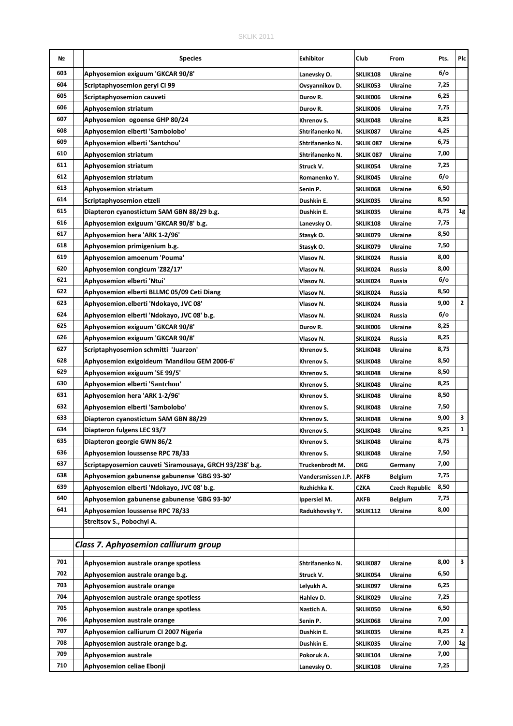| Nº  | <b>Species</b>                                                           | <b>Exhibitor</b>   | Club            | From           | Pts. | Plc            |
|-----|--------------------------------------------------------------------------|--------------------|-----------------|----------------|------|----------------|
| 603 | Aphyosemion exiguum 'GKCAR 90/8'                                         | Lanevsky O.        | <b>SKLIK108</b> | <b>Ukraine</b> | 6/0  |                |
| 604 | Scriptaphyosemion geryi CI 99                                            | Ovsyannikov D.     | SKLIK053        | Ukraine        | 7,25 |                |
| 605 | Scriptaphyosemion cauveti                                                | Durov R.           | SKLIK006        | Ukraine        | 6,25 |                |
| 606 | <b>Aphyosemion striatum</b>                                              | Durov R.           | SKLIK006        | <b>Ukraine</b> | 7,75 |                |
| 607 | Aphyosemion ogoense GHP 80/24                                            | Khrenov S.         | SKLIK048        | <b>Ukraine</b> | 8,25 |                |
| 608 | Aphyosemion elberti 'Sambolobo'                                          | Shtrifanenko N.    | SKLIK087        | Ukraine        | 4,25 |                |
| 609 | Aphyosemion elberti 'Santchou'                                           | Shtrifanenko N.    | SKLIK 087       | <b>Ukraine</b> | 6,75 |                |
| 610 | <b>Aphyosemion striatum</b>                                              | Shtrifanenko N.    | SKLIK 087       | <b>Ukraine</b> | 7,00 |                |
| 611 | <b>Aphyosemion striatum</b>                                              | Struck V.          | SKLIK054        | <b>Ukraine</b> | 7,25 |                |
| 612 | <b>Aphyosemion striatum</b>                                              | Romanenko Y.       | SKLIK045        | <b>Ukraine</b> | 6/0  |                |
| 613 | <b>Aphyosemion striatum</b>                                              | Senin P.           | SKLIK068        | <b>Ukraine</b> | 6,50 |                |
| 614 | Scriptaphyosemion etzeli                                                 | Dushkin E.         | SKLIK035        | <b>Ukraine</b> | 8,50 |                |
| 615 | Diapteron cyanostictum SAM GBN 88/29 b.g.                                | Dushkin E.         | SKLIK035        | <b>Ukraine</b> | 8,75 | 1g             |
| 616 | Aphyosemion exiguum 'GKCAR 90/8' b.g.                                    | Lanevsky O.        | SKLIK108        | <b>Ukraine</b> | 7,75 |                |
| 617 | Aphyosemion hera 'ARK 1-2/96'                                            | Stasyk O.          | SKLIK079        | Ukraine        | 8,50 |                |
| 618 | Aphyosemion primigenium b.g.                                             | Stasyk O.          | SKLIK079        | <b>Ukraine</b> | 7,50 |                |
| 619 | Aphyosemion amoenum 'Pouma'                                              | Vlasov N.          | SKLIK024        | Russia         | 8,00 |                |
| 620 | Aphyosemion congicum 'Z82/17'                                            | Vlasov N.          | SKLIK024        | Russia         | 8,00 |                |
| 621 | Aphyosemion elberti 'Ntui'                                               | Vlasov N.          | SKLIK024        | Russia         | 6/o  |                |
| 622 | Aphyosemion elberti BLLMC 05/09 Ceti Diang                               | Vlasov N.          | SKLIK024        | Russia         | 8,50 |                |
| 623 | Aphyosemion.elberti 'Ndokayo, JVC 08'                                    | Vlasov N.          | SKLIK024        | Russia         | 9,00 | $\overline{2}$ |
| 624 | Aphyosemion elberti 'Ndokayo, JVC 08' b.g.                               | Vlasov N.          | SKLIK024        | Russia         | 6/o  |                |
| 625 | Aphyosemion exiguum 'GKCAR 90/8'                                         | Durov R.           | SKLIK006        | <b>Ukraine</b> | 8,25 |                |
| 626 | Aphyosemion exiguum 'GKCAR 90/8'                                         | Vlasov N.          | SKLIK024        | Russia         | 8,25 |                |
| 627 | Scriptaphyosemion schmitti 'Juarzon'                                     | Khrenov S.         | SKLIK048        | <b>Ukraine</b> | 8,75 |                |
| 628 | Aphyosemion exigoideum 'Mandilou GEM 2006-6'                             | Khrenov S.         | SKLIK048        | <b>Ukraine</b> | 8,50 |                |
| 629 | Aphyosemion exiguum 'SE 99/5'                                            | Khrenov S.         | SKLIK048        | Ukraine        | 8,50 |                |
| 630 | Aphyosemion elberti 'Santchou'                                           | Khrenov S.         | SKLIK048        | Ukraine        | 8,25 |                |
| 631 | Aphyosemion hera 'ARK 1-2/96'                                            | Khrenov S.         | SKLIK048        | <b>Ukraine</b> | 8,50 |                |
| 632 | Aphyosemion elberti 'Sambolobo'                                          | Khrenov S.         | SKLIK048        | <b>Ukraine</b> | 7,50 |                |
| 633 | Diapteron cyanostictum SAM GBN 88/29                                     | Khrenov S.         | SKLIK048        | <b>Ukraine</b> | 9,00 | 3              |
| 634 | Diapteron fulgens LEC 93/7                                               | Khrenov S.         | SKLIK048        | <b>Ukraine</b> | 9,25 | $\mathbf{1}$   |
| 635 | Diapteron georgie GWN 86/2                                               | Khrenov S.         | SKLIK048        | <b>Ukraine</b> | 8,75 |                |
| 636 | Aphyosemion loussense RPC 78/33                                          | Khrenov S.         | SKLIK048        | Ukraine        | 7,50 |                |
| 637 | Scriptapyosemion cauveti 'Siramousaya, GRCH 93/238' b.g.                 | Truckenbrodt M.    | DKG             | Germany        | 7,00 |                |
| 638 | Aphyosemion gabunense gabunense 'GBG 93-30'                              | Vandersmissen J.P. | <b>AKFB</b>     | <b>Belgium</b> | 7,75 |                |
| 639 | Aphyosemion elberti 'Ndokayo, JVC 08' b.g.                               | Ruzhichka K.       | CZKA            | Czech Republic | 8,50 |                |
| 640 | Aphyosemion gabunense gabunense 'GBG 93-30'                              | Ippersiel M.       | AKFB            | Belgium        | 7,75 |                |
| 641 | Aphyosemion loussense RPC 78/33                                          | Radukhovsky Y.     | SKLIK112        | Ukraine        | 8,00 |                |
|     | Streltsov S., Pobochyi A.                                                |                    |                 |                |      |                |
|     |                                                                          |                    |                 |                |      |                |
|     | Class 7. Aphyosemion calliurum group                                     |                    |                 |                |      |                |
| 701 |                                                                          |                    |                 |                | 8,00 | 3              |
| 702 | Aphyosemion australe orange spotless<br>Aphyosemion australe orange b.g. | Shtrifanenko N.    | SKLIK087        | Ukraine        | 6,50 |                |
| 703 |                                                                          | Struck V.          | SKLIK054        | Ukraine        | 6,25 |                |
| 704 | Aphyosemion australe orange                                              | Lelyukh A.         | SKLIK097        | Ukraine        | 7,25 |                |
| 705 | Aphyosemion australe orange spotless                                     | Hahlev D.          | SKLIK029        | Ukraine        | 6,50 |                |
| 706 | Aphyosemion australe orange spotless                                     | Nastich A.         | <b>SKLIK050</b> | Ukraine        | 7,00 |                |
| 707 | Aphyosemion australe orange                                              | Senin P.           | SKLIK068        | Ukraine        | 8,25 | 2              |
| 708 | Aphyosemion calliurum CI 2007 Nigeria                                    | Dushkin E.         | SKLIK035        | Ukraine        | 7,00 | 1g             |
| 709 | Aphyosemion australe orange b.g.                                         | Dushkin E.         | SKLIK035        | Ukraine        | 7,00 |                |
| 710 | <b>Aphyosemion australe</b>                                              | Pokoruk A.         | SKLIK104        | Ukraine        |      |                |
|     | Aphyosemion celiae Ebonji                                                | Lanevsky O.        | <b>SKLIK108</b> | Ukraine        | 7,25 |                |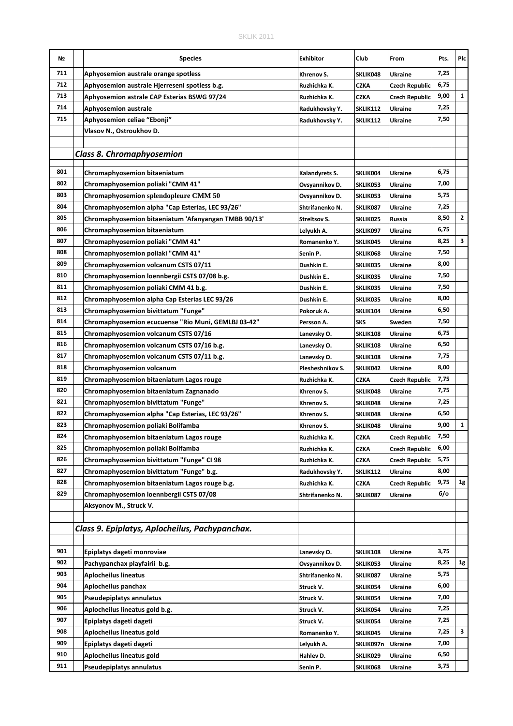| Nº  | <b>Species</b>                                                                       | Exhibitor                | Club                   | From                  | Pts.         | Plc          |
|-----|--------------------------------------------------------------------------------------|--------------------------|------------------------|-----------------------|--------------|--------------|
| 711 | Aphyosemion australe orange spotless                                                 | Khrenov S.               | SKLIK048               | <b>Ukraine</b>        | 7,25         |              |
| 712 | Aphyosemion australe Hjerreseni spotless b.g.                                        | Ruzhichka K.             | <b>CZKA</b>            | <b>Czech Republic</b> | 6,75         |              |
| 713 | Aphyosemion astrale CAP Esterias BSWG 97/24                                          | Ruzhichka K.             | CZKA                   | <b>Czech Republic</b> | 9,00         | 1            |
| 714 | <b>Aphyosemion australe</b>                                                          | Radukhovsky Y.           | SKLIK112               | <b>Ukraine</b>        | 7,25         |              |
| 715 | Aphyosemion celiae "Ebonji"                                                          | Radukhovsky Y.           | SKLIK112               | Ukraine               | 7,50         |              |
|     | Vlasov N., Ostroukhov D.                                                             |                          |                        |                       |              |              |
|     |                                                                                      |                          |                        |                       |              |              |
|     | <b>Class 8. Chromaphyosemion</b>                                                     |                          |                        |                       |              |              |
| 801 |                                                                                      |                          |                        |                       |              |              |
| 802 | Chromaphyosemion bitaeniatum                                                         | Kalandyrets S.           | SKLIK004               | Ukraine               | 6,75         |              |
| 803 | Chromaphyosemion poliaki "CMM 41"                                                    | Ovsyannikov D.           | SKLIK053               | <b>Ukraine</b>        | 7,00         |              |
| 804 | Chromaphyosemion splendopleure CMM 50                                                | Ovsyannikov D.           | SKLIK053               | <b>Ukraine</b>        | 5,75         |              |
| 805 | Chromaphyosemion alpha "Cap Esterias, LEC 93/26"                                     | Shtrifanenko N.          | SKLIK087               | Ukraine               | 7,25<br>8,50 | $\mathbf{2}$ |
| 806 | Chromaphyosemion bitaeniatum 'Afanyangan TMBB 90/13'                                 | <b>Streltsov S.</b>      | SKLIK025               | Russia                | 6,75         |              |
| 807 | Chromaphyosemion bitaeniatum                                                         | Lelyukh A.               | SKLIK097               | <b>Ukraine</b>        | 8,25         | 3            |
| 808 | Chromaphyosemion poliaki "CMM 41"                                                    | Romanenko Y.             | SKLIK045               | <b>Ukraine</b>        | 7,50         |              |
| 809 | Chromaphyosemion poliaki "CMM 41"                                                    | Senin P.                 | SKLIK068               | <b>Ukraine</b>        | 8,00         |              |
| 810 | Chromaphyosemion volcanum CSTS 07/11                                                 | Dushkin E.               | SKLIK035               | Ukraine               | 7,50         |              |
| 811 | Chromaphyosemion loennbergii CSTS 07/08 b.g.<br>Chromaphyosemion poliaki CMM 41 b.g. | Dushkin E                | SKLIK035               | <b>Ukraine</b>        | 7,50         |              |
| 812 | Chromaphyosemion alpha Cap Esterias LEC 93/26                                        | Dushkin E.<br>Dushkin E. | SKLIK035<br>SKLIK035   | Ukraine<br>Ukraine    | 8,00         |              |
| 813 | Chromaphyosemion bivittatum "Funge"                                                  | Pokoruk A.               |                        | Ukraine               | 6,50         |              |
| 814 | Chromaphyosemion ecucuense "Rio Muni, GEMLBJ 03-42"                                  | Persson A.               | SKLIK104<br><b>SKS</b> | Sweden                | 7,50         |              |
| 815 | Chromaphyosemion volcanum CSTS 07/16                                                 | Lanevsky O.              | SKLIK108               | <b>Ukraine</b>        | 6,75         |              |
| 816 | Chromaphyosemion volcanum CSTS 07/16 b.g.                                            | Lanevsky O.              | SKLIK108               | <b>Ukraine</b>        | 6,50         |              |
| 817 | Chromaphyosemion volcanum CSTS 07/11 b.g.                                            | Lanevsky O.              | SKLIK108               | <b>Ukraine</b>        | 7,75         |              |
| 818 | Chromaphyosemion volcanum                                                            | Plesheshnikov S.         | SKLIK042               | Ukraine               | 8,00         |              |
| 819 | Chromaphyosemion bitaeniatum Lagos rouge                                             | Ruzhichka K.             | <b>CZKA</b>            | <b>Czech Republic</b> | 7,75         |              |
| 820 | Chromaphyosemion bitaeniatum Zagnanado                                               | Khrenov S.               | SKLIK048               | <b>Ukraine</b>        | 7,75         |              |
| 821 | Chromaphyosemion bivittatum "Funge"                                                  | Khrenov S.               | SKLIK048               | <b>Ukraine</b>        | 7,25         |              |
| 822 | Chromaphyosemion alpha "Cap Esterias, LEC 93/26"                                     | Khrenov S.               | SKLIK048               | Ukraine               | 6,50         |              |
| 823 | Chromaphyosemion poliaki Bolifamba                                                   | Khrenov S.               | SKLIK048               | Ukraine               | 9,00         | $\mathbf{1}$ |
| 824 | Chromaphyosemion bitaeniatum Lagos rouge                                             | Ruzhichka K.             | CZKA                   | <b>Czech Republic</b> | 7,50         |              |
| 825 | Chromaphyosemion poliaki Bolifamba                                                   | Ruzhichka K.             | CZKA                   | <b>Czech Republic</b> | 6,00         |              |
| 826 | Chromaphyosemion bivittatum "Funge" CI 98                                            | Ruzhichka K.             | <b>CZKA</b>            | <b>Czech Republic</b> | 5,75         |              |
| 827 | Chromaphyosemion bivittatum "Funge" b.g.                                             | Radukhovsky Y.           | SKLIK112               | <b>Ukraine</b>        | 8,00         |              |
| 828 | Chromaphyosemion bitaeniatum Lagos rouge b.g.                                        | Ruzhichka K.             | <b>CZKA</b>            | <b>Czech Republic</b> | 9,75         | 1g           |
| 829 | Chromaphyosemion loennbergii CSTS 07/08                                              | Shtrifanenko N.          | SKLIK087               | Ukraine               | $6$ /o       |              |
|     | Aksyonov M., Struck V.                                                               |                          |                        |                       |              |              |
|     |                                                                                      |                          |                        |                       |              |              |
|     | Class 9. Epiplatys, Aplocheilus, Pachypanchax.                                       |                          |                        |                       |              |              |
|     |                                                                                      |                          |                        |                       |              |              |
| 901 | Epiplatys dageti monroviae                                                           | Lanevsky O.              | SKLIK108               | Ukraine               | 3,75         |              |
| 902 | Pachypanchax playfairii b.g.                                                         | Ovsyannikov D.           | SKLIK053               | Ukraine               | 8,25         | 1g           |
| 903 | <b>Aplocheilus lineatus</b>                                                          | Shtrifanenko N.          | SKLIK087               | Ukraine               | 5,75         |              |
| 904 | Aplocheilus panchax                                                                  | Struck V.                | <b>SKLIK054</b>        | Ukraine               | 6,00         |              |
| 905 | Pseudepiplatys annulatus                                                             | Struck V.                | SKLIK054               | Ukraine               | 7,00         |              |
| 906 | Aplocheilus lineatus gold b.g.                                                       | Struck V.                | SKLIK054               | Ukraine               | 7,25         |              |
| 907 | Epiplatys dageti dageti                                                              | Struck V.                | SKLIK054               | Ukraine               | 7,25         |              |
| 908 | Aplocheilus lineatus gold                                                            | Romanenko Y.             | SKLIK045               | Ukraine               | 7,25         | 3            |
| 909 | Epiplatys dageti dageti                                                              | Lelyukh A.               | SKLIK097n              | Ukraine               | 7,00         |              |
| 910 | Aplocheilus lineatus gold                                                            | Hahlev D.                | SKLIK029               | Ukraine               | 6,50         |              |
| 911 | Pseudepiplatys annulatus                                                             | Senin P.                 | SKLIK068               | Ukraine               | 3,75         |              |